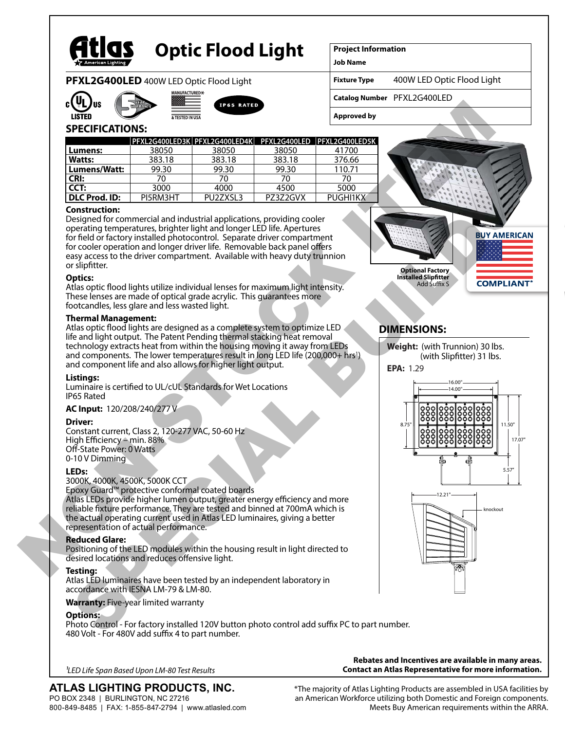

# **Optic Flood Light**

**Project Information**

**Job Name**

**PFXL2G400LED** 400W LED Optic Flood Light







#### **Fixture Type** 400W LED Optic Flood Light

**Catalog Number** PFXL2G400LED

## **SPECIFICATIONS:**

| c(YL)<br>'US                                                                                                                                                                                                                                                                                                                                                                                                                     | <b>IP65 RATED</b> |                                                           |          |                    |                                                                                                                    |
|----------------------------------------------------------------------------------------------------------------------------------------------------------------------------------------------------------------------------------------------------------------------------------------------------------------------------------------------------------------------------------------------------------------------------------|-------------------|-----------------------------------------------------------|----------|--------------------|--------------------------------------------------------------------------------------------------------------------|
| <b>LISTED</b>                                                                                                                                                                                                                                                                                                                                                                                                                    | & TESTED IN USA   |                                                           |          | <b>Approved by</b> |                                                                                                                    |
| <b>SPECIFICATIONS:</b>                                                                                                                                                                                                                                                                                                                                                                                                           |                   | PFXL2G400LED3K PFXL2G400LED4K PFXL2G400LED PFXL2G400LED5K |          |                    |                                                                                                                    |
| Lumens:                                                                                                                                                                                                                                                                                                                                                                                                                          | 38050             | 38050                                                     | 38050    | 41700              |                                                                                                                    |
| Watts:                                                                                                                                                                                                                                                                                                                                                                                                                           | 383.18            | 383.18                                                    | 383.18   | 376.66             |                                                                                                                    |
| Lumens/Watt:                                                                                                                                                                                                                                                                                                                                                                                                                     | 99.30             | 99.30                                                     | 99.30    | 110.71             |                                                                                                                    |
| CRI:                                                                                                                                                                                                                                                                                                                                                                                                                             | 70                | 70                                                        | 70       | 70                 |                                                                                                                    |
| CCT:                                                                                                                                                                                                                                                                                                                                                                                                                             | 3000              | 4000                                                      | 4500     | 5000               |                                                                                                                    |
| <b>DLC Prod. ID:</b>                                                                                                                                                                                                                                                                                                                                                                                                             | PI5RM3HT          | PU2ZXSL3                                                  | PZ3Z2GVX | <b>PUGHI1KX</b>    |                                                                                                                    |
| for field or factory installed photocontrol. Separate driver compartment<br>for cooler operation and longer driver life. Removable back panel offers<br>easy access to the driver compartment. Available with heavy duty trunnion<br>or slipfitter.<br><b>Optics:</b><br>Atlas optic flood lights utilize individual lenses for maximum light intensity.<br>These lenses are made of optical grade acrylic. This guarantees more |                   |                                                           |          |                    | <b>BUY AMER</b><br><b>Optional Factory</b><br><b>Installed Slipfitter</b><br><b>COMPLIA</b><br><b>Add Suffix S</b> |
| life and light output. The Patent Pending thermal stacking heat removal<br>technology extracts heat from within the housing moving it away from LEDs<br>and components. The lower temperatures result in long LED life (200,000+ hrs <sup>1</sup> ).<br>and component life and also allows for higher light output.<br>Listinas:<br>Luminaire is certified to UL/cUL Standards for Wet Locations                                 |                   |                                                           |          |                    | Weight: (with Trunnion) 30 lbs.<br>(with Slipfitter) 31 lbs.<br>EPA: 1.29                                          |
| IP65 Rated                                                                                                                                                                                                                                                                                                                                                                                                                       |                   |                                                           |          |                    |                                                                                                                    |
| AC Input: 120/208/240/277 V<br><b>Driver:</b><br>Constant current, Class 2, 120-277 VAC, 50-60 Hz<br>High Efficiency - min. 88%<br>Off-State Power: 0 Watts<br>0-10 V Dimming                                                                                                                                                                                                                                                    |                   |                                                           |          |                    | 8.75'<br> ၀၀၀<br> ၀၀၀<br> ၀၀၀<br>888 <br>888 <br>ď€                                                                |
| LED <sub>s:</sub><br>3000K, 4000K, 4500K, 5000K CCT<br>Epoxy Guard <sup>™</sup> protective conformal coated boards<br>Atlas LEDs provide higher lumen output, greater energy efficiency and more<br>reliable fixture performance. They are tested and binned at 700mA which is<br>the actual operating current used in Atlas LED luminaires, giving a better<br>representation of actual performance.                            |                   |                                                           |          |                    | 12.21<br>knockout                                                                                                  |
| <b>Reduced Glare:</b><br>Positioning of the LED modules within the housing result in light directed to<br>desired locations and reduces offensive light.                                                                                                                                                                                                                                                                         |                   |                                                           |          |                    |                                                                                                                    |
| <b>Testing:</b>                                                                                                                                                                                                                                                                                                                                                                                                                  |                   |                                                           |          |                    |                                                                                                                    |

#### **Construction:**

Designed for commercial and industrial applications, providing cooler operating temperatures, brighter light and longer LED life. Apertures for field or factory installed photocontrol. Separate driver compartment for cooler operation and longer driver life. Removable back panel offers easy access to the driver compartment. Available with heavy duty trunnion or slipfitter. Designed Torcommercial and Industrial and policide tons providing cooler<br>consider a contemporal and industrial and industrial and interest or cooler operation and one or diversified photocontrol. Separate diversifies the f

#### **Optics:**

#### **Thermal Management:**

#### **Listings:**

#### **AC Input:** 120/208/240/277 V

#### **Driver:**

#### **LEDs:**

#### **Reduced Glare:**

#### **Testing:**

Atlas LED luminaires have been tested by an independent laboratory in accordance with IESNA LM-79 & LM-80.

#### **Warranty:** Five-year limited warranty

#### **Options:**

Photo Control - For factory installed 120V button photo control add suffix PC to part number. 480 Volt - For 480V add suffix 4 to part number.



## **DIMENSIONS:**





**Contact an Atlas Representative for more information.** *1LED Life Span Based Upon LM-80 Test Results*

## **ATLAS LIGHTING PRODUCTS, INC.**

PO BOX 2348 | BURLINGTON, NC 27216 800-849-8485 | FAX: 1-855-847-2794 | www.atlasled.com \*The majority of Atlas Lighting Products are assembled in USA facilities by

**Rebates and Incentives are available in many areas.**

an American Workforce utilizing both Domestic and Foreign components. Meets Buy American requirements within the ARRA.